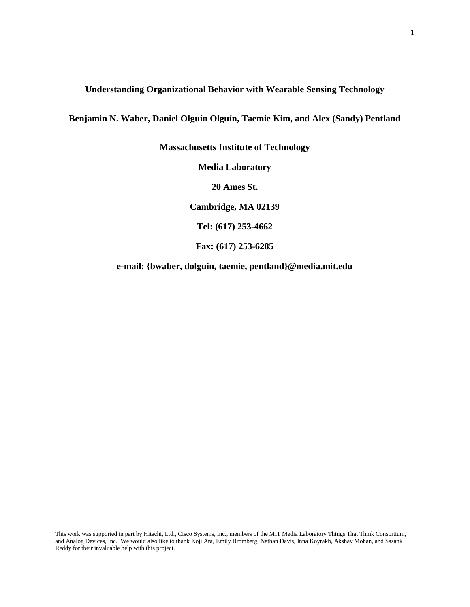# **Understanding Organizational Behavior with Wearable Sensing Technology**

**Benjamin N. Waber, Daniel Olguín Olguín, Taemie Kim, and Alex (Sandy) Pentland**

**Massachusetts Institute of Technology Media Laboratory 20 Ames St. Cambridge, MA 02139 Tel: (617) 253-4662 Fax: (617) 253-6285**

**e-mail: {bwaber, dolguin, taemie, pentland}@media.mit.edu**

This work was supported in part by Hitachi, Ltd., Cisco Systems, Inc., members of the MIT Media Laboratory Things That Think Consortium, and Analog Devices, Inc. We would also like to thank Koji Ara, Emily Bromberg, Nathan Davis, Inna Koyrakh, Akshay Mohan, and Sasank Reddy for their invaluable help with this project.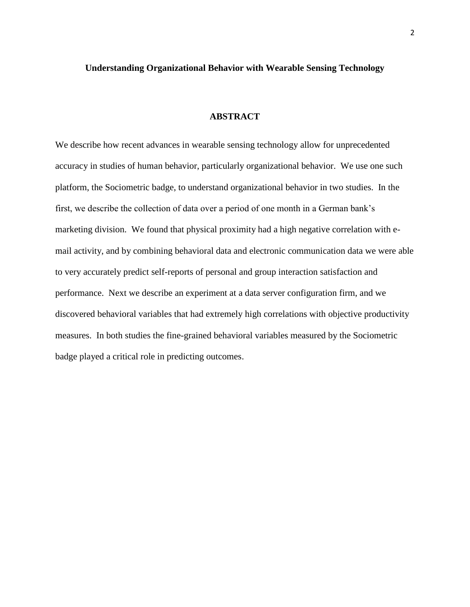# **Understanding Organizational Behavior with Wearable Sensing Technology**

### **ABSTRACT**

We describe how recent advances in wearable sensing technology allow for unprecedented accuracy in studies of human behavior, particularly organizational behavior. We use one such platform, the Sociometric badge, to understand organizational behavior in two studies. In the first, we describe the collection of data over a period of one month in a German bank's marketing division. We found that physical proximity had a high negative correlation with email activity, and by combining behavioral data and electronic communication data we were able to very accurately predict self-reports of personal and group interaction satisfaction and performance. Next we describe an experiment at a data server configuration firm, and we discovered behavioral variables that had extremely high correlations with objective productivity measures. In both studies the fine-grained behavioral variables measured by the Sociometric badge played a critical role in predicting outcomes.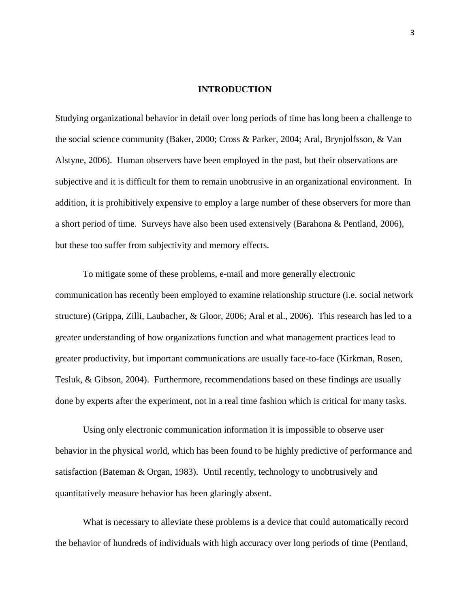#### **INTRODUCTION**

Studying organizational behavior in detail over long periods of time has long been a challenge to the social science community (Baker, 2000; Cross & Parker, 2004; Aral, Brynjolfsson, & Van Alstyne, 2006). Human observers have been employed in the past, but their observations are subjective and it is difficult for them to remain unobtrusive in an organizational environment. In addition, it is prohibitively expensive to employ a large number of these observers for more than a short period of time. Surveys have also been used extensively (Barahona & Pentland, 2006), but these too suffer from subjectivity and memory effects.

To mitigate some of these problems, e-mail and more generally electronic communication has recently been employed to examine relationship structure (i.e. social network structure) (Grippa, Zilli, Laubacher, & Gloor, 2006; Aral et al., 2006). This research has led to a greater understanding of how organizations function and what management practices lead to greater productivity, but important communications are usually face-to-face (Kirkman, Rosen, Tesluk, & Gibson, 2004). Furthermore, recommendations based on these findings are usually done by experts after the experiment, not in a real time fashion which is critical for many tasks.

Using only electronic communication information it is impossible to observe user behavior in the physical world, which has been found to be highly predictive of performance and satisfaction (Bateman & Organ, 1983). Until recently, technology to unobtrusively and quantitatively measure behavior has been glaringly absent.

What is necessary to alleviate these problems is a device that could automatically record the behavior of hundreds of individuals with high accuracy over long periods of time (Pentland,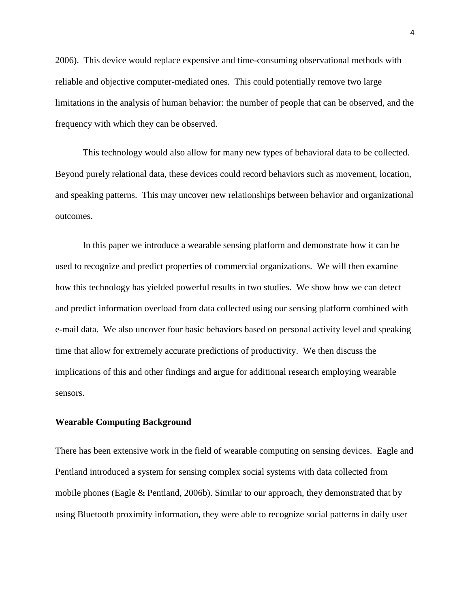2006). This device would replace expensive and time-consuming observational methods with reliable and objective computer-mediated ones. This could potentially remove two large limitations in the analysis of human behavior: the number of people that can be observed, and the frequency with which they can be observed.

This technology would also allow for many new types of behavioral data to be collected. Beyond purely relational data, these devices could record behaviors such as movement, location, and speaking patterns. This may uncover new relationships between behavior and organizational outcomes.

In this paper we introduce a wearable sensing platform and demonstrate how it can be used to recognize and predict properties of commercial organizations. We will then examine how this technology has yielded powerful results in two studies. We show how we can detect and predict information overload from data collected using our sensing platform combined with e-mail data. We also uncover four basic behaviors based on personal activity level and speaking time that allow for extremely accurate predictions of productivity. We then discuss the implications of this and other findings and argue for additional research employing wearable sensors.

#### **Wearable Computing Background**

There has been extensive work in the field of wearable computing on sensing devices. Eagle and Pentland introduced a system for sensing complex social systems with data collected from mobile phones (Eagle & Pentland, 2006b). Similar to our approach, they demonstrated that by using Bluetooth proximity information, they were able to recognize social patterns in daily user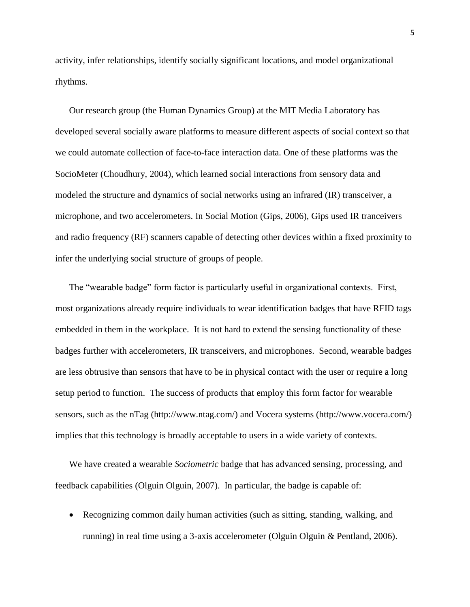activity, infer relationships, identify socially significant locations, and model organizational rhythms.

Our research group (the Human Dynamics Group) at the MIT Media Laboratory has developed several socially aware platforms to measure different aspects of social context so that we could automate collection of face-to-face interaction data. One of these platforms was the SocioMeter (Choudhury, 2004), which learned social interactions from sensory data and modeled the structure and dynamics of social networks using an infrared (IR) transceiver, a microphone, and two accelerometers. In Social Motion (Gips, 2006), Gips used IR tranceivers and radio frequency (RF) scanners capable of detecting other devices within a fixed proximity to infer the underlying social structure of groups of people.

The "wearable badge" form factor is particularly useful in organizational contexts. First, most organizations already require individuals to wear identification badges that have RFID tags embedded in them in the workplace. It is not hard to extend the sensing functionality of these badges further with accelerometers, IR transceivers, and microphones. Second, wearable badges are less obtrusive than sensors that have to be in physical contact with the user or require a long setup period to function. The success of products that employ this form factor for wearable sensors, such as the nTag (http://www.ntag.com/) and Vocera systems (http://www.vocera.com/) implies that this technology is broadly acceptable to users in a wide variety of contexts.

We have created a wearable *Sociometric* badge that has advanced sensing, processing, and feedback capabilities (Olguin Olguin, 2007). In particular, the badge is capable of:

 Recognizing common daily human activities (such as sitting, standing, walking, and running) in real time using a 3-axis accelerometer (Olguin Olguin & Pentland, 2006).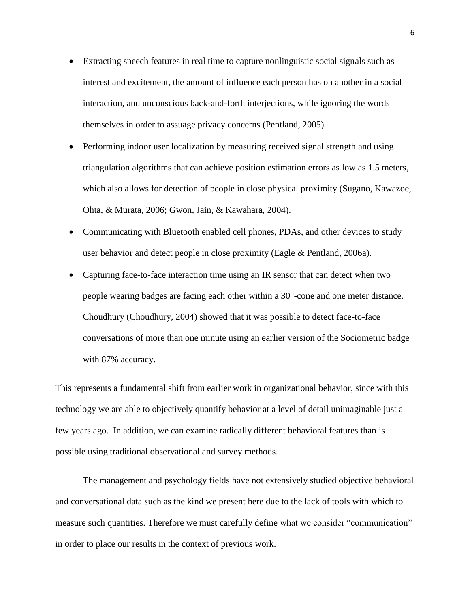- Extracting speech features in real time to capture nonlinguistic social signals such as interest and excitement, the amount of influence each person has on another in a social interaction, and unconscious back-and-forth interjections, while ignoring the words themselves in order to assuage privacy concerns (Pentland, 2005).
- Performing indoor user localization by measuring received signal strength and using triangulation algorithms that can achieve position estimation errors as low as 1.5 meters, which also allows for detection of people in close physical proximity (Sugano, Kawazoe, Ohta, & Murata, 2006; Gwon, Jain, & Kawahara, 2004).
- Communicating with Bluetooth enabled cell phones, PDAs, and other devices to study user behavior and detect people in close proximity (Eagle & Pentland, 2006a).
- Capturing face-to-face interaction time using an IR sensor that can detect when two people wearing badges are facing each other within a 30°-cone and one meter distance. Choudhury (Choudhury, 2004) showed that it was possible to detect face-to-face conversations of more than one minute using an earlier version of the Sociometric badge with 87% accuracy.

This represents a fundamental shift from earlier work in organizational behavior, since with this technology we are able to objectively quantify behavior at a level of detail unimaginable just a few years ago. In addition, we can examine radically different behavioral features than is possible using traditional observational and survey methods.

The management and psychology fields have not extensively studied objective behavioral and conversational data such as the kind we present here due to the lack of tools with which to measure such quantities. Therefore we must carefully define what we consider "communication" in order to place our results in the context of previous work.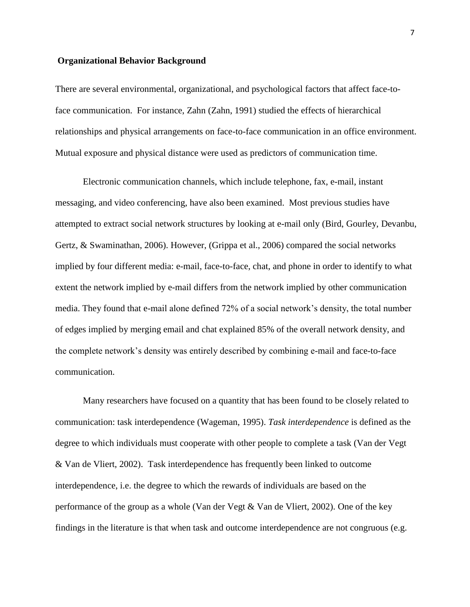### **Organizational Behavior Background**

There are several environmental, organizational, and psychological factors that affect face-toface communication. For instance, Zahn (Zahn, 1991) studied the effects of hierarchical relationships and physical arrangements on face-to-face communication in an office environment. Mutual exposure and physical distance were used as predictors of communication time.

Electronic communication channels, which include telephone, fax, e-mail, instant messaging, and video conferencing, have also been examined. Most previous studies have attempted to extract social network structures by looking at e-mail only (Bird, Gourley, Devanbu, Gertz, & Swaminathan, 2006). However, (Grippa et al., 2006) compared the social networks implied by four different media: e-mail, face-to-face, chat, and phone in order to identify to what extent the network implied by e-mail differs from the network implied by other communication media. They found that e-mail alone defined 72% of a social network's density, the total number of edges implied by merging email and chat explained 85% of the overall network density, and the complete network's density was entirely described by combining e-mail and face-to-face communication.

Many researchers have focused on a quantity that has been found to be closely related to communication: task interdependence (Wageman, 1995). *Task interdependence* is defined as the degree to which individuals must cooperate with other people to complete a task (Van der Vegt & Van de Vliert, 2002). Task interdependence has frequently been linked to outcome interdependence, i.e. the degree to which the rewards of individuals are based on the performance of the group as a whole (Van der Vegt & Van de Vliert, 2002). One of the key findings in the literature is that when task and outcome interdependence are not congruous (e.g.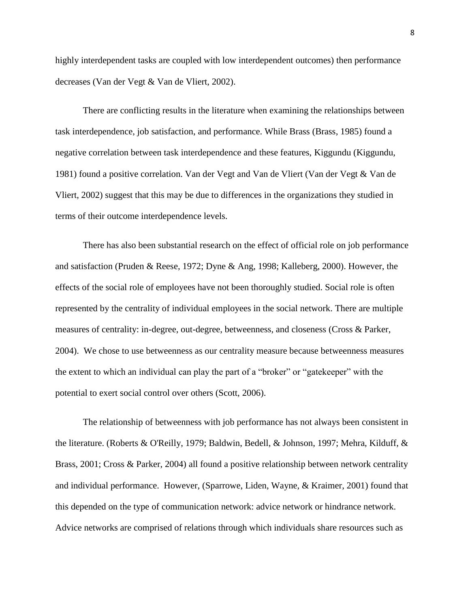highly interdependent tasks are coupled with low interdependent outcomes) then performance decreases (Van der Vegt & Van de Vliert, 2002).

There are conflicting results in the literature when examining the relationships between task interdependence, job satisfaction, and performance. While Brass (Brass, 1985) found a negative correlation between task interdependence and these features, Kiggundu (Kiggundu, 1981) found a positive correlation. Van der Vegt and Van de Vliert (Van der Vegt & Van de Vliert, 2002) suggest that this may be due to differences in the organizations they studied in terms of their outcome interdependence levels.

There has also been substantial research on the effect of official role on job performance and satisfaction (Pruden & Reese, 1972; Dyne & Ang, 1998; Kalleberg, 2000). However, the effects of the social role of employees have not been thoroughly studied. Social role is often represented by the centrality of individual employees in the social network. There are multiple measures of centrality: in-degree, out-degree, betweenness, and closeness (Cross & Parker, 2004). We chose to use betweenness as our centrality measure because betweenness measures the extent to which an individual can play the part of a "broker" or "gatekeeper" with the potential to exert social control over others (Scott, 2006).

The relationship of betweenness with job performance has not always been consistent in the literature. (Roberts & O'Reilly, 1979; Baldwin, Bedell, & Johnson, 1997; Mehra, Kilduff, & Brass, 2001; Cross & Parker, 2004) all found a positive relationship between network centrality and individual performance. However, (Sparrowe, Liden, Wayne, & Kraimer, 2001) found that this depended on the type of communication network: advice network or hindrance network. Advice networks are comprised of relations through which individuals share resources such as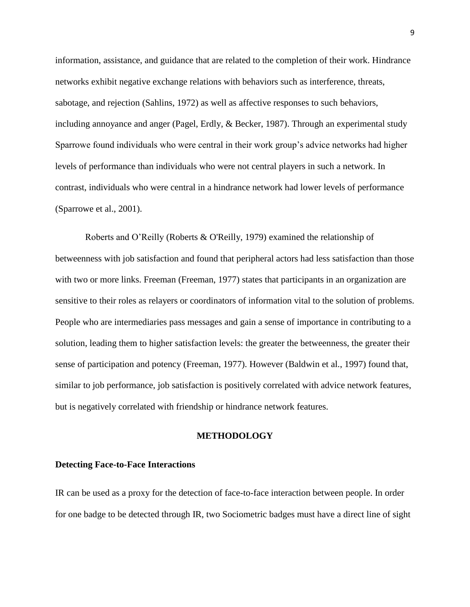information, assistance, and guidance that are related to the completion of their work. Hindrance networks exhibit negative exchange relations with behaviors such as interference, threats, sabotage, and rejection (Sahlins, 1972) as well as affective responses to such behaviors, including annoyance and anger (Pagel, Erdly, & Becker, 1987). Through an experimental study Sparrowe found individuals who were central in their work group's advice networks had higher levels of performance than individuals who were not central players in such a network. In contrast, individuals who were central in a hindrance network had lower levels of performance (Sparrowe et al., 2001).

Roberts and O'Reilly (Roberts & O'Reilly, 1979) examined the relationship of betweenness with job satisfaction and found that peripheral actors had less satisfaction than those with two or more links. Freeman (Freeman, 1977) states that participants in an organization are sensitive to their roles as relayers or coordinators of information vital to the solution of problems. People who are intermediaries pass messages and gain a sense of importance in contributing to a solution, leading them to higher satisfaction levels: the greater the betweenness, the greater their sense of participation and potency (Freeman, 1977). However (Baldwin et al., 1997) found that, similar to job performance, job satisfaction is positively correlated with advice network features, but is negatively correlated with friendship or hindrance network features.

### **METHODOLOGY**

## **Detecting Face-to-Face Interactions**

IR can be used as a proxy for the detection of face-to-face interaction between people. In order for one badge to be detected through IR, two Sociometric badges must have a direct line of sight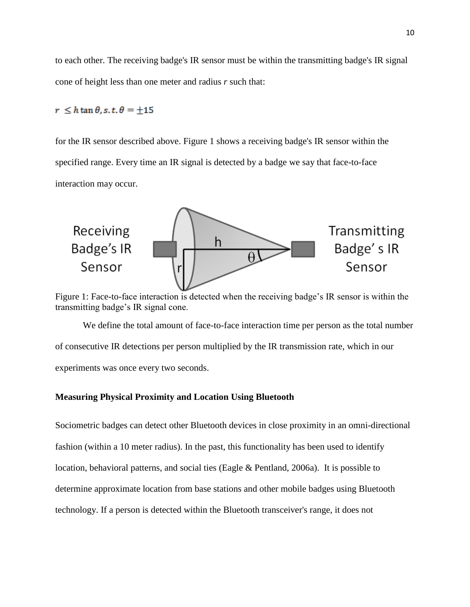to each other. The receiving badge's IR sensor must be within the transmitting badge's IR signal cone of height less than one meter and radius *r* such that:

# $r \leq h \tan \theta, s, t, \theta = \pm 15$

for the IR sensor described above. Figure 1 shows a receiving badge's IR sensor within the specified range. Every time an IR signal is detected by a badge we say that face-to-face interaction may occur.



Figure 1: Face-to-face interaction is detected when the receiving badge's IR sensor is within the transmitting badge's IR signal cone.

We define the total amount of face-to-face interaction time per person as the total number of consecutive IR detections per person multiplied by the IR transmission rate, which in our experiments was once every two seconds.

### **Measuring Physical Proximity and Location Using Bluetooth**

Sociometric badges can detect other Bluetooth devices in close proximity in an omni-directional fashion (within a 10 meter radius). In the past, this functionality has been used to identify location, behavioral patterns, and social ties (Eagle & Pentland, 2006a). It is possible to determine approximate location from base stations and other mobile badges using Bluetooth technology. If a person is detected within the Bluetooth transceiver's range, it does not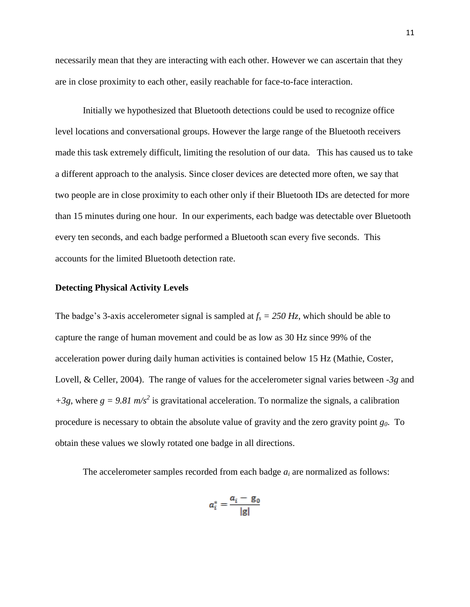necessarily mean that they are interacting with each other. However we can ascertain that they are in close proximity to each other, easily reachable for face-to-face interaction.

Initially we hypothesized that Bluetooth detections could be used to recognize office level locations and conversational groups. However the large range of the Bluetooth receivers made this task extremely difficult, limiting the resolution of our data. This has caused us to take a different approach to the analysis. Since closer devices are detected more often, we say that two people are in close proximity to each other only if their Bluetooth IDs are detected for more than 15 minutes during one hour. In our experiments, each badge was detectable over Bluetooth every ten seconds, and each badge performed a Bluetooth scan every five seconds. This accounts for the limited Bluetooth detection rate.

#### **Detecting Physical Activity Levels**

The badge's 3-axis accelerometer signal is sampled at  $f_s = 250 \text{ Hz}$ , which should be able to capture the range of human movement and could be as low as 30 Hz since 99% of the acceleration power during daily human activities is contained below 15 Hz (Mathie, Coster, Lovell, & Celler, 2004). The range of values for the accelerometer signal varies between *-3g* and  $+3g$ , where  $g = 9.81$  m/s<sup>2</sup> is gravitational acceleration. To normalize the signals, a calibration procedure is necessary to obtain the absolute value of gravity and the zero gravity point *g0*. To obtain these values we slowly rotated one badge in all directions.

The accelerometer samples recorded from each badge *a<sup>i</sup>* are normalized as follows:

$$
a_i^* = \frac{a_i - g_0}{|g|}
$$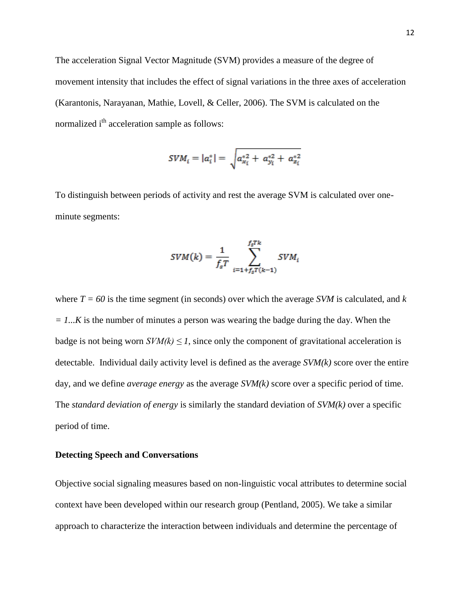The acceleration Signal Vector Magnitude (SVM) provides a measure of the degree of movement intensity that includes the effect of signal variations in the three axes of acceleration (Karantonis, Narayanan, Mathie, Lovell, & Celler, 2006). The SVM is calculated on the normalized i<sup>th</sup> acceleration sample as follows:

$$
SVM_i = |a_i^*| = \sqrt{a_{x_i}^{*2} + a_{y_i}^{*2} + a_{z_i}^{*2}}
$$

To distinguish between periods of activity and rest the average SVM is calculated over oneminute segments:

$$
SVM(k) = \frac{1}{f_s T} \sum_{i=1+f_s T(k-1)}^{f_s T k} SVM_i
$$

where  $T = 60$  is the time segment (in seconds) over which the average *SVM* is calculated, and *k = 1...K* is the number of minutes a person was wearing the badge during the day. When the badge is not being worn  $SVM(k) \leq 1$ , since only the component of gravitational acceleration is detectable. Individual daily activity level is defined as the average *SVM(k)* score over the entire day, and we define *average energy* as the average *SVM(k)* score over a specific period of time. The *standard deviation of energy* is similarly the standard deviation of *SVM(k)* over a specific period of time.

# **Detecting Speech and Conversations**

Objective social signaling measures based on non-linguistic vocal attributes to determine social context have been developed within our research group (Pentland, 2005). We take a similar approach to characterize the interaction between individuals and determine the percentage of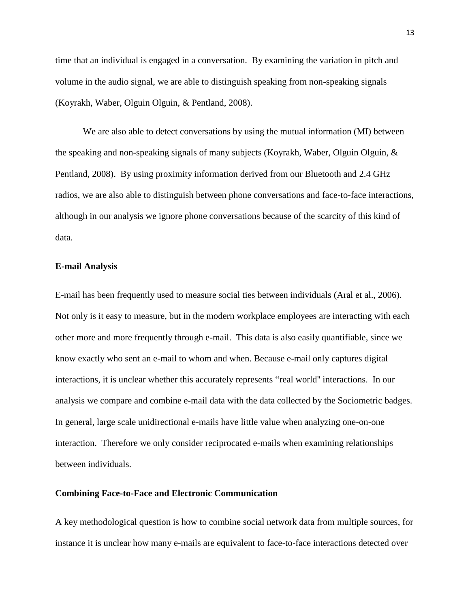time that an individual is engaged in a conversation. By examining the variation in pitch and volume in the audio signal, we are able to distinguish speaking from non-speaking signals (Koyrakh, Waber, Olguin Olguin, & Pentland, 2008).

We are also able to detect conversations by using the mutual information (MI) between the speaking and non-speaking signals of many subjects (Koyrakh, Waber, Olguin Olguin, & Pentland, 2008). By using proximity information derived from our Bluetooth and 2.4 GHz radios, we are also able to distinguish between phone conversations and face-to-face interactions, although in our analysis we ignore phone conversations because of the scarcity of this kind of data.

#### **E-mail Analysis**

E-mail has been frequently used to measure social ties between individuals (Aral et al., 2006). Not only is it easy to measure, but in the modern workplace employees are interacting with each other more and more frequently through e-mail. This data is also easily quantifiable, since we know exactly who sent an e-mail to whom and when. Because e-mail only captures digital interactions, it is unclear whether this accurately represents "real world'' interactions. In our analysis we compare and combine e-mail data with the data collected by the Sociometric badges. In general, large scale unidirectional e-mails have little value when analyzing one-on-one interaction. Therefore we only consider reciprocated e-mails when examining relationships between individuals.

## **Combining Face-to-Face and Electronic Communication**

A key methodological question is how to combine social network data from multiple sources, for instance it is unclear how many e-mails are equivalent to face-to-face interactions detected over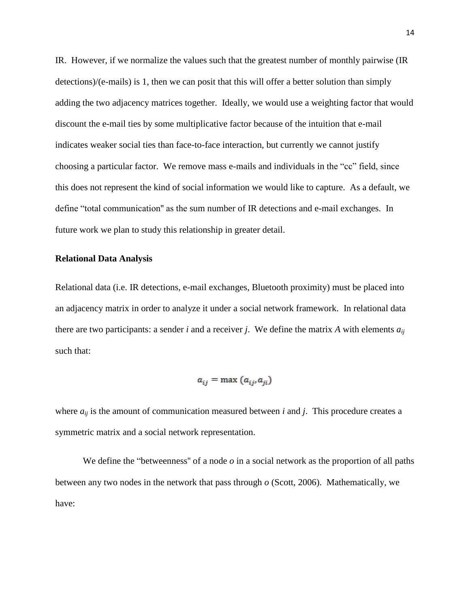IR. However, if we normalize the values such that the greatest number of monthly pairwise (IR detections)/(e-mails) is 1, then we can posit that this will offer a better solution than simply adding the two adjacency matrices together. Ideally, we would use a weighting factor that would discount the e-mail ties by some multiplicative factor because of the intuition that e-mail indicates weaker social ties than face-to-face interaction, but currently we cannot justify choosing a particular factor. We remove mass e-mails and individuals in the "cc" field, since this does not represent the kind of social information we would like to capture. As a default, we define "total communication'' as the sum number of IR detections and e-mail exchanges. In future work we plan to study this relationship in greater detail.

### **Relational Data Analysis**

Relational data (i.e. IR detections, e-mail exchanges, Bluetooth proximity) must be placed into an adjacency matrix in order to analyze it under a social network framework. In relational data there are two participants: a sender *i* and a receiver *j*. We define the matrix *A* with elements *aij* such that:

$$
a_{ij} = \max(a_{ij}, a_{ji})
$$

where  $a_{ij}$  is the amount of communication measured between *i* and *j*. This procedure creates a symmetric matrix and a social network representation.

We define the "betweenness" of a node *o* in a social network as the proportion of all paths between any two nodes in the network that pass through *o* (Scott, 2006). Mathematically, we have: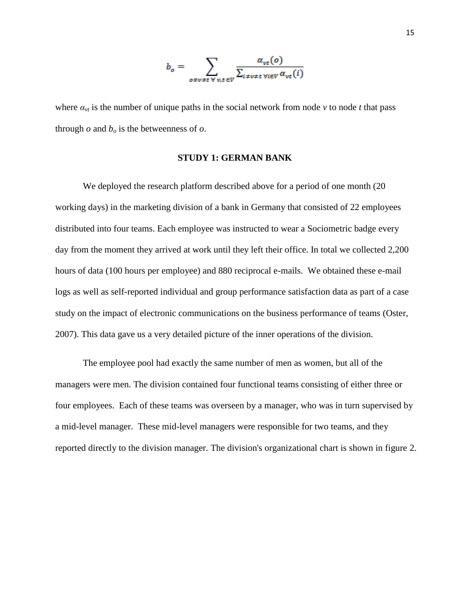$$
b_o = \sum_{o \neq v \neq t \ \forall v, t \in V} \frac{\alpha_{vt}(o)}{\sum_{i \neq v \neq t \ \forall i \in V} \alpha_{vt}(i)}
$$

where  $a_{vt}$  is the number of unique paths in the social network from node  $v$  to node  $t$  that pass through  $o$  and  $b<sub>o</sub>$  is the betweenness of  $o$ .

### **STUDY 1: GERMAN BANK**

We deployed the research platform described above for a period of one month (20 working days) in the marketing division of a bank in Germany that consisted of 22 employees distributed into four teams. Each employee was instructed to wear a Sociometric badge every day from the moment they arrived at work until they left their office. In total we collected 2,200 hours of data (100 hours per employee) and 880 reciprocal e-mails. We obtained these e-mail logs as well as self-reported individual and group performance satisfaction data as part of a case study on the impact of electronic communications on the business performance of teams (Oster, 2007). This data gave us a very detailed picture of the inner operations of the division.

The employee pool had exactly the same number of men as women, but all of the managers were men. The division contained four functional teams consisting of either three or four employees. Each of these teams was overseen by a manager, who was in turn supervised by a mid-level manager. These mid-level managers were responsible for two teams, and they reported directly to the division manager. The division's organizational chart is shown in figure 2.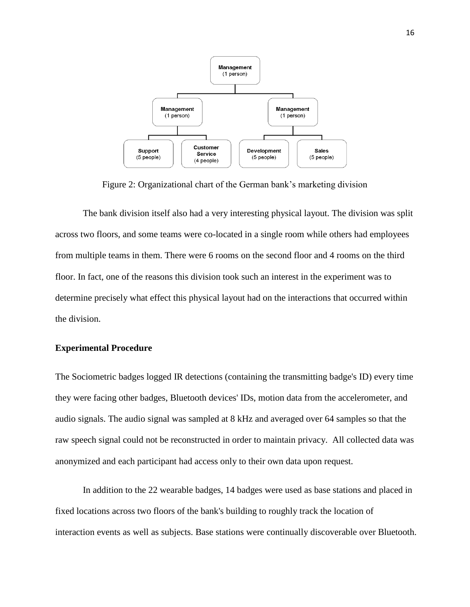

Figure 2: Organizational chart of the German bank's marketing division

The bank division itself also had a very interesting physical layout. The division was split across two floors, and some teams were co-located in a single room while others had employees from multiple teams in them. There were 6 rooms on the second floor and 4 rooms on the third floor. In fact, one of the reasons this division took such an interest in the experiment was to determine precisely what effect this physical layout had on the interactions that occurred within the division.

### **Experimental Procedure**

The Sociometric badges logged IR detections (containing the transmitting badge's ID) every time they were facing other badges, Bluetooth devices' IDs, motion data from the accelerometer, and audio signals. The audio signal was sampled at 8 kHz and averaged over 64 samples so that the raw speech signal could not be reconstructed in order to maintain privacy. All collected data was anonymized and each participant had access only to their own data upon request.

In addition to the 22 wearable badges, 14 badges were used as base stations and placed in fixed locations across two floors of the bank's building to roughly track the location of interaction events as well as subjects. Base stations were continually discoverable over Bluetooth.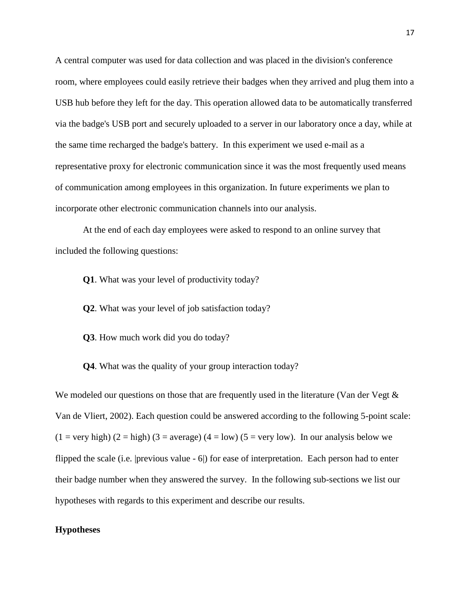A central computer was used for data collection and was placed in the division's conference room, where employees could easily retrieve their badges when they arrived and plug them into a USB hub before they left for the day. This operation allowed data to be automatically transferred via the badge's USB port and securely uploaded to a server in our laboratory once a day, while at the same time recharged the badge's battery. In this experiment we used e-mail as a representative proxy for electronic communication since it was the most frequently used means of communication among employees in this organization. In future experiments we plan to incorporate other electronic communication channels into our analysis.

At the end of each day employees were asked to respond to an online survey that included the following questions:

**Q1**. What was your level of productivity today?

**Q2**. What was your level of job satisfaction today?

**Q3**. How much work did you do today?

**Q4**. What was the quality of your group interaction today?

We modeled our questions on those that are frequently used in the literature (Van der Vegt  $\&$ Van de Vliert, 2002). Each question could be answered according to the following 5-point scale:  $(1 = \text{very high}) (2 = \text{high}) (3 = \text{average}) (4 = \text{low}) (5 = \text{very low})$ . In our analysis below we flipped the scale (i.e. |previous value - 6|) for ease of interpretation. Each person had to enter their badge number when they answered the survey. In the following sub-sections we list our hypotheses with regards to this experiment and describe our results.

# **Hypotheses**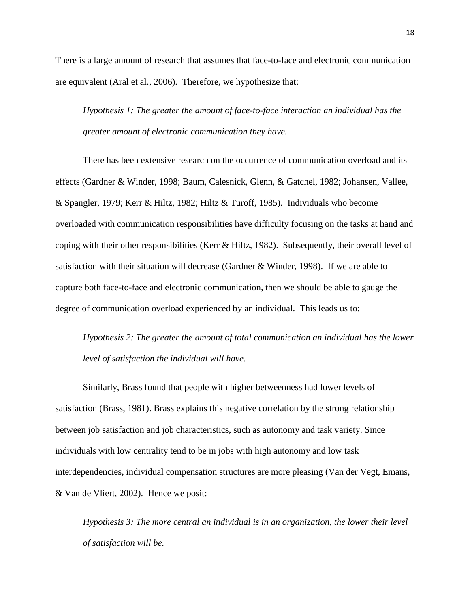There is a large amount of research that assumes that face-to-face and electronic communication are equivalent (Aral et al., 2006). Therefore, we hypothesize that:

*Hypothesis 1: The greater the amount of face-to-face interaction an individual has the greater amount of electronic communication they have.*

There has been extensive research on the occurrence of communication overload and its effects (Gardner & Winder, 1998; Baum, Calesnick, Glenn, & Gatchel, 1982; Johansen, Vallee, & Spangler, 1979; Kerr & Hiltz, 1982; Hiltz & Turoff, 1985). Individuals who become overloaded with communication responsibilities have difficulty focusing on the tasks at hand and coping with their other responsibilities (Kerr & Hiltz, 1982). Subsequently, their overall level of satisfaction with their situation will decrease (Gardner & Winder, 1998). If we are able to capture both face-to-face and electronic communication, then we should be able to gauge the degree of communication overload experienced by an individual. This leads us to:

*Hypothesis 2: The greater the amount of total communication an individual has the lower level of satisfaction the individual will have.*

Similarly, Brass found that people with higher betweenness had lower levels of satisfaction (Brass, 1981). Brass explains this negative correlation by the strong relationship between job satisfaction and job characteristics, such as autonomy and task variety. Since individuals with low centrality tend to be in jobs with high autonomy and low task interdependencies, individual compensation structures are more pleasing (Van der Vegt, Emans, & Van de Vliert, 2002). Hence we posit:

*Hypothesis 3: The more central an individual is in an organization, the lower their level of satisfaction will be.*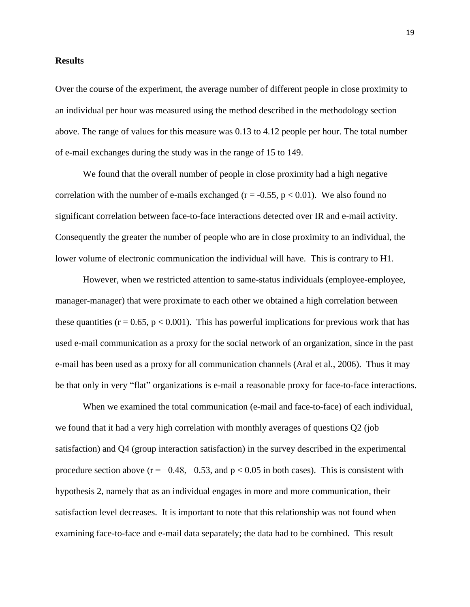### **Results**

Over the course of the experiment, the average number of different people in close proximity to an individual per hour was measured using the method described in the methodology section above. The range of values for this measure was 0.13 to 4.12 people per hour. The total number of e-mail exchanges during the study was in the range of 15 to 149.

We found that the overall number of people in close proximity had a high negative correlation with the number of e-mails exchanged ( $r = -0.55$ ,  $p < 0.01$ ). We also found no significant correlation between face-to-face interactions detected over IR and e-mail activity. Consequently the greater the number of people who are in close proximity to an individual, the lower volume of electronic communication the individual will have. This is contrary to H1.

However, when we restricted attention to same-status individuals (employee-employee, manager-manager) that were proximate to each other we obtained a high correlation between these quantities ( $r = 0.65$ ,  $p < 0.001$ ). This has powerful implications for previous work that has used e-mail communication as a proxy for the social network of an organization, since in the past e-mail has been used as a proxy for all communication channels (Aral et al., 2006). Thus it may be that only in very "flat" organizations is e-mail a reasonable proxy for face-to-face interactions.

When we examined the total communication (e-mail and face-to-face) of each individual, we found that it had a very high correlation with monthly averages of questions Q2 (job satisfaction) and Q4 (group interaction satisfaction) in the survey described in the experimental procedure section above ( $r = -0.48, -0.53$ , and  $p < 0.05$  in both cases). This is consistent with hypothesis 2, namely that as an individual engages in more and more communication, their satisfaction level decreases. It is important to note that this relationship was not found when examining face-to-face and e-mail data separately; the data had to be combined. This result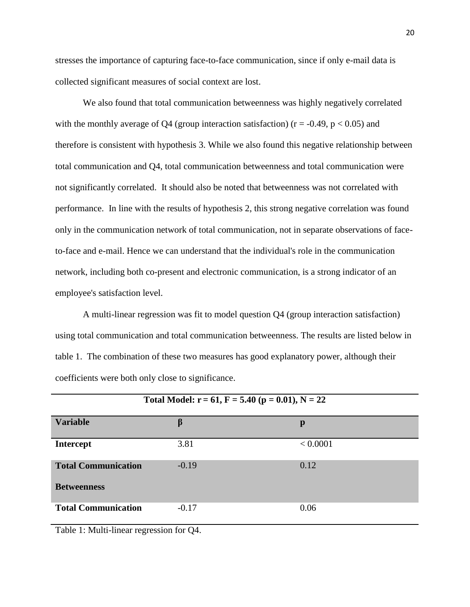stresses the importance of capturing face-to-face communication, since if only e-mail data is collected significant measures of social context are lost.

We also found that total communication betweenness was highly negatively correlated with the monthly average of Q4 (group interaction satisfaction) ( $r = -0.49$ ,  $p < 0.05$ ) and therefore is consistent with hypothesis 3. While we also found this negative relationship between total communication and Q4, total communication betweenness and total communication were not significantly correlated. It should also be noted that betweenness was not correlated with performance. In line with the results of hypothesis 2, this strong negative correlation was found only in the communication network of total communication, not in separate observations of faceto-face and e-mail. Hence we can understand that the individual's role in the communication network, including both co-present and electronic communication, is a strong indicator of an employee's satisfaction level.

A multi-linear regression was fit to model question Q4 (group interaction satisfaction) using total communication and total communication betweenness. The results are listed below in table 1. The combination of these two measures has good explanatory power, although their coefficients were both only close to significance.

| Total Model: $r = 61$ , $F = 5.40$ ( $p = 0.01$ ), $N = 22$ |         |          |  |  |
|-------------------------------------------------------------|---------|----------|--|--|
| <b>Variable</b>                                             | β       | p        |  |  |
| <b>Intercept</b>                                            | 3.81    | < 0.0001 |  |  |
| <b>Total Communication</b>                                  | $-0.19$ | 0.12     |  |  |
| <b>Betweenness</b>                                          |         |          |  |  |
| <b>Total Communication</b>                                  | $-0.17$ | 0.06     |  |  |

Table 1: Multi-linear regression for Q4.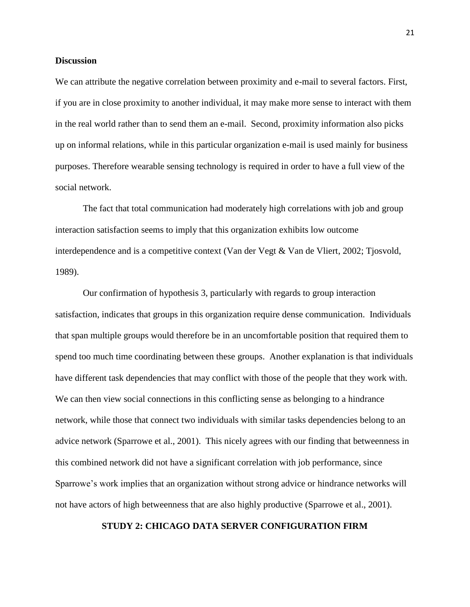### **Discussion**

We can attribute the negative correlation between proximity and e-mail to several factors. First, if you are in close proximity to another individual, it may make more sense to interact with them in the real world rather than to send them an e-mail. Second, proximity information also picks up on informal relations, while in this particular organization e-mail is used mainly for business purposes. Therefore wearable sensing technology is required in order to have a full view of the social network.

The fact that total communication had moderately high correlations with job and group interaction satisfaction seems to imply that this organization exhibits low outcome interdependence and is a competitive context (Van der Vegt & Van de Vliert, 2002; Tjosvold, 1989).

Our confirmation of hypothesis 3, particularly with regards to group interaction satisfaction, indicates that groups in this organization require dense communication. Individuals that span multiple groups would therefore be in an uncomfortable position that required them to spend too much time coordinating between these groups. Another explanation is that individuals have different task dependencies that may conflict with those of the people that they work with. We can then view social connections in this conflicting sense as belonging to a hindrance network, while those that connect two individuals with similar tasks dependencies belong to an advice network (Sparrowe et al., 2001). This nicely agrees with our finding that betweenness in this combined network did not have a significant correlation with job performance, since Sparrowe's work implies that an organization without strong advice or hindrance networks will not have actors of high betweenness that are also highly productive (Sparrowe et al., 2001).

# **STUDY 2: CHICAGO DATA SERVER CONFIGURATION FIRM**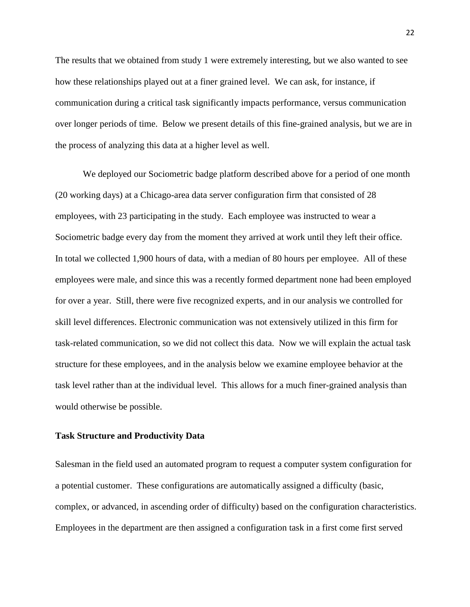The results that we obtained from study 1 were extremely interesting, but we also wanted to see how these relationships played out at a finer grained level. We can ask, for instance, if communication during a critical task significantly impacts performance, versus communication over longer periods of time. Below we present details of this fine-grained analysis, but we are in the process of analyzing this data at a higher level as well.

We deployed our Sociometric badge platform described above for a period of one month (20 working days) at a Chicago-area data server configuration firm that consisted of 28 employees, with 23 participating in the study. Each employee was instructed to wear a Sociometric badge every day from the moment they arrived at work until they left their office. In total we collected 1,900 hours of data, with a median of 80 hours per employee. All of these employees were male, and since this was a recently formed department none had been employed for over a year. Still, there were five recognized experts, and in our analysis we controlled for skill level differences. Electronic communication was not extensively utilized in this firm for task-related communication, so we did not collect this data. Now we will explain the actual task structure for these employees, and in the analysis below we examine employee behavior at the task level rather than at the individual level. This allows for a much finer-grained analysis than would otherwise be possible.

### **Task Structure and Productivity Data**

Salesman in the field used an automated program to request a computer system configuration for a potential customer. These configurations are automatically assigned a difficulty (basic, complex, or advanced, in ascending order of difficulty) based on the configuration characteristics. Employees in the department are then assigned a configuration task in a first come first served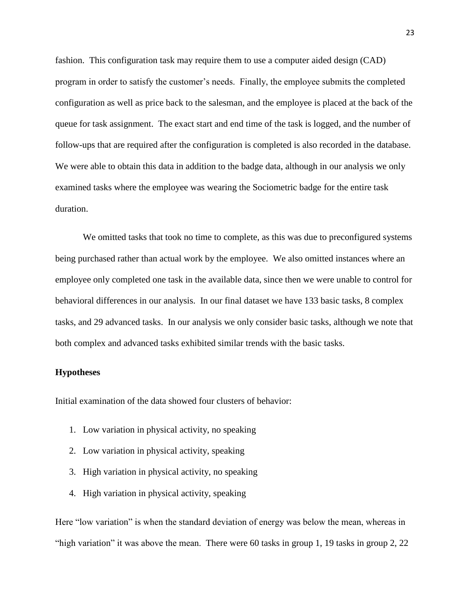fashion. This configuration task may require them to use a computer aided design (CAD) program in order to satisfy the customer's needs. Finally, the employee submits the completed configuration as well as price back to the salesman, and the employee is placed at the back of the queue for task assignment. The exact start and end time of the task is logged, and the number of follow-ups that are required after the configuration is completed is also recorded in the database. We were able to obtain this data in addition to the badge data, although in our analysis we only examined tasks where the employee was wearing the Sociometric badge for the entire task duration.

We omitted tasks that took no time to complete, as this was due to preconfigured systems being purchased rather than actual work by the employee. We also omitted instances where an employee only completed one task in the available data, since then we were unable to control for behavioral differences in our analysis. In our final dataset we have 133 basic tasks, 8 complex tasks, and 29 advanced tasks. In our analysis we only consider basic tasks, although we note that both complex and advanced tasks exhibited similar trends with the basic tasks.

# **Hypotheses**

Initial examination of the data showed four clusters of behavior:

- 1. Low variation in physical activity, no speaking
- 2. Low variation in physical activity, speaking
- 3. High variation in physical activity, no speaking
- 4. High variation in physical activity, speaking

Here "low variation" is when the standard deviation of energy was below the mean, whereas in "high variation" it was above the mean. There were 60 tasks in group 1, 19 tasks in group 2, 22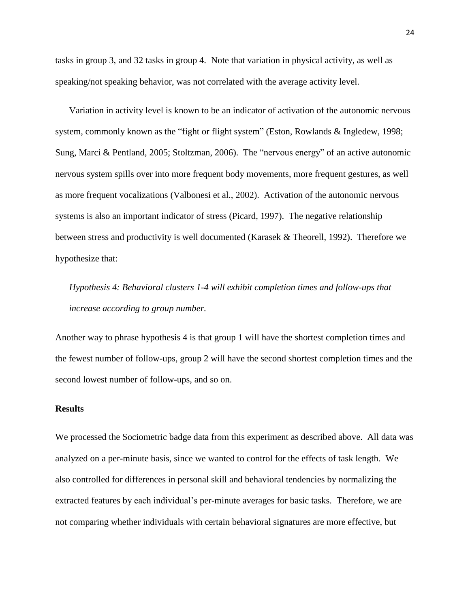tasks in group 3, and 32 tasks in group 4. Note that variation in physical activity, as well as speaking/not speaking behavior, was not correlated with the average activity level.

Variation in activity level is known to be an indicator of activation of the autonomic nervous system, commonly known as the "fight or flight system" (Eston, Rowlands & Ingledew, 1998; Sung, Marci & Pentland, 2005; Stoltzman, 2006). The "nervous energy" of an active autonomic nervous system spills over into more frequent body movements, more frequent gestures, as well as more frequent vocalizations (Valbonesi et al., 2002). Activation of the autonomic nervous systems is also an important indicator of stress (Picard, 1997). The negative relationship between stress and productivity is well documented (Karasek & Theorell, 1992). Therefore we hypothesize that:

*Hypothesis 4: Behavioral clusters 1-4 will exhibit completion times and follow-ups that increase according to group number.*

Another way to phrase hypothesis 4 is that group 1 will have the shortest completion times and the fewest number of follow-ups, group 2 will have the second shortest completion times and the second lowest number of follow-ups, and so on.

### **Results**

We processed the Sociometric badge data from this experiment as described above. All data was analyzed on a per-minute basis, since we wanted to control for the effects of task length. We also controlled for differences in personal skill and behavioral tendencies by normalizing the extracted features by each individual's per-minute averages for basic tasks. Therefore, we are not comparing whether individuals with certain behavioral signatures are more effective, but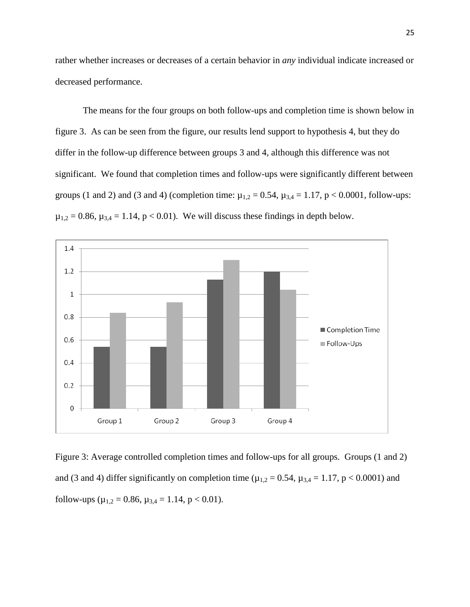rather whether increases or decreases of a certain behavior in *any* individual indicate increased or decreased performance.

The means for the four groups on both follow-ups and completion time is shown below in figure 3. As can be seen from the figure, our results lend support to hypothesis 4, but they do differ in the follow-up difference between groups 3 and 4, although this difference was not significant. We found that completion times and follow-ups were significantly different between groups (1 and 2) and (3 and 4) (completion time:  $\mu_{1,2} = 0.54$ ,  $\mu_{3,4} = 1.17$ , p < 0.0001, follow-ups:  $\mu_{1,2} = 0.86$ ,  $\mu_{3,4} = 1.14$ ,  $p < 0.01$ ). We will discuss these findings in depth below.



Figure 3: Average controlled completion times and follow-ups for all groups. Groups (1 and 2) and (3 and 4) differ significantly on completion time ( $\mu_{1,2} = 0.54$ ,  $\mu_{3,4} = 1.17$ , p < 0.0001) and follow-ups ( $\mu_{1,2} = 0.86$ ,  $\mu_{3,4} = 1.14$ ,  $p < 0.01$ ).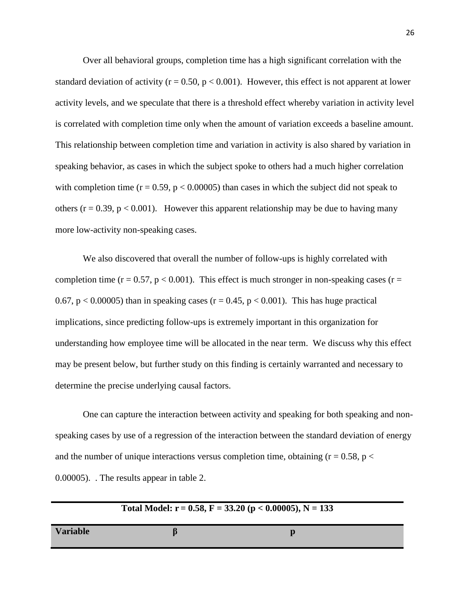Over all behavioral groups, completion time has a high significant correlation with the standard deviation of activity ( $r = 0.50$ ,  $p < 0.001$ ). However, this effect is not apparent at lower activity levels, and we speculate that there is a threshold effect whereby variation in activity level is correlated with completion time only when the amount of variation exceeds a baseline amount. This relationship between completion time and variation in activity is also shared by variation in speaking behavior, as cases in which the subject spoke to others had a much higher correlation with completion time  $(r = 0.59, p < 0.00005)$  than cases in which the subject did not speak to others ( $r = 0.39$ ,  $p < 0.001$ ). However this apparent relationship may be due to having many more low-activity non-speaking cases.

We also discovered that overall the number of follow-ups is highly correlated with completion time ( $r = 0.57$ ,  $p < 0.001$ ). This effect is much stronger in non-speaking cases ( $r =$ 0.67,  $p < 0.00005$ ) than in speaking cases ( $r = 0.45$ ,  $p < 0.001$ ). This has huge practical implications, since predicting follow-ups is extremely important in this organization for understanding how employee time will be allocated in the near term. We discuss why this effect may be present below, but further study on this finding is certainly warranted and necessary to determine the precise underlying causal factors.

One can capture the interaction between activity and speaking for both speaking and nonspeaking cases by use of a regression of the interaction between the standard deviation of energy and the number of unique interactions versus completion time, obtaining ( $r = 0.58$ ,  $p <$ 0.00005). . The results appear in table 2.

| Total Model: $r = 0.58$ , $F = 33.20$ ( $p < 0.00005$ ), $N = 133$ |  |    |  |
|--------------------------------------------------------------------|--|----|--|
| <b>Variable</b>                                                    |  | IJ |  |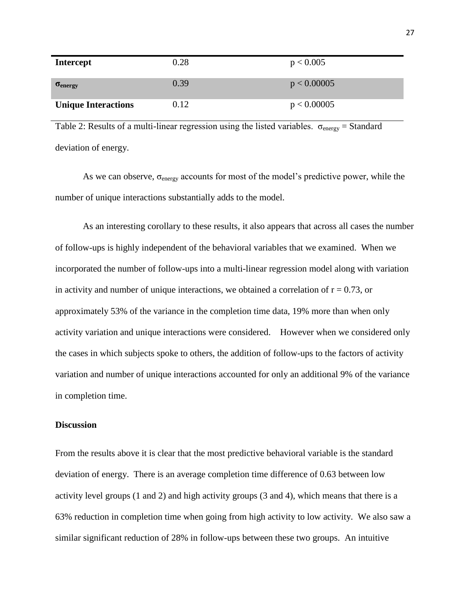| <b>Intercept</b>           | 0.28 | p < 0.005   |
|----------------------------|------|-------------|
| $\sigma_{\rm energy}$      | 0.39 | p < 0.00005 |
| <b>Unique Interactions</b> | 0.12 | p < 0.00005 |

Table 2: Results of a multi-linear regression using the listed variables.  $\sigma_{\text{energy}} =$  Standard deviation of energy.

As we can observe,  $\sigma_{\text{energy}}$  accounts for most of the model's predictive power, while the number of unique interactions substantially adds to the model.

As an interesting corollary to these results, it also appears that across all cases the number of follow-ups is highly independent of the behavioral variables that we examined. When we incorporated the number of follow-ups into a multi-linear regression model along with variation in activity and number of unique interactions, we obtained a correlation of  $r = 0.73$ , or approximately 53% of the variance in the completion time data, 19% more than when only activity variation and unique interactions were considered. However when we considered only the cases in which subjects spoke to others, the addition of follow-ups to the factors of activity variation and number of unique interactions accounted for only an additional 9% of the variance in completion time.

## **Discussion**

From the results above it is clear that the most predictive behavioral variable is the standard deviation of energy. There is an average completion time difference of 0.63 between low activity level groups (1 and 2) and high activity groups (3 and 4), which means that there is a 63% reduction in completion time when going from high activity to low activity. We also saw a similar significant reduction of 28% in follow-ups between these two groups. An intuitive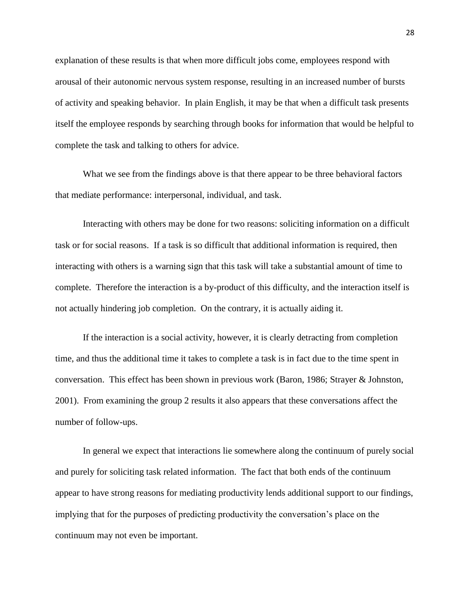explanation of these results is that when more difficult jobs come, employees respond with arousal of their autonomic nervous system response, resulting in an increased number of bursts of activity and speaking behavior. In plain English, it may be that when a difficult task presents itself the employee responds by searching through books for information that would be helpful to complete the task and talking to others for advice.

What we see from the findings above is that there appear to be three behavioral factors that mediate performance: interpersonal, individual, and task.

Interacting with others may be done for two reasons: soliciting information on a difficult task or for social reasons. If a task is so difficult that additional information is required, then interacting with others is a warning sign that this task will take a substantial amount of time to complete. Therefore the interaction is a by-product of this difficulty, and the interaction itself is not actually hindering job completion. On the contrary, it is actually aiding it.

If the interaction is a social activity, however, it is clearly detracting from completion time, and thus the additional time it takes to complete a task is in fact due to the time spent in conversation. This effect has been shown in previous work (Baron, 1986; Strayer & Johnston, 2001). From examining the group 2 results it also appears that these conversations affect the number of follow-ups.

In general we expect that interactions lie somewhere along the continuum of purely social and purely for soliciting task related information. The fact that both ends of the continuum appear to have strong reasons for mediating productivity lends additional support to our findings, implying that for the purposes of predicting productivity the conversation's place on the continuum may not even be important.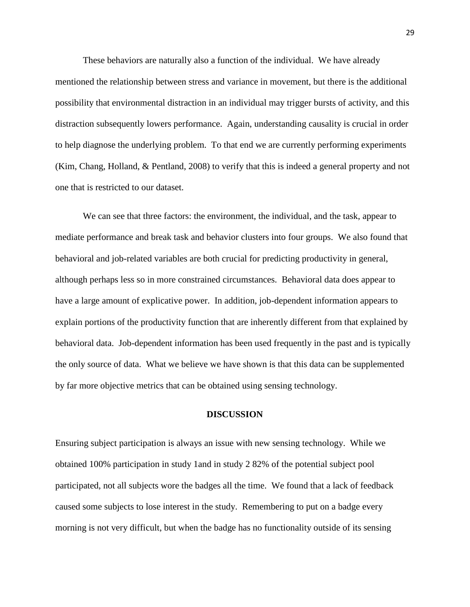These behaviors are naturally also a function of the individual. We have already mentioned the relationship between stress and variance in movement, but there is the additional possibility that environmental distraction in an individual may trigger bursts of activity, and this distraction subsequently lowers performance. Again, understanding causality is crucial in order to help diagnose the underlying problem. To that end we are currently performing experiments (Kim, Chang, Holland, & Pentland, 2008) to verify that this is indeed a general property and not one that is restricted to our dataset.

We can see that three factors: the environment, the individual, and the task, appear to mediate performance and break task and behavior clusters into four groups. We also found that behavioral and job-related variables are both crucial for predicting productivity in general, although perhaps less so in more constrained circumstances. Behavioral data does appear to have a large amount of explicative power. In addition, job-dependent information appears to explain portions of the productivity function that are inherently different from that explained by behavioral data. Job-dependent information has been used frequently in the past and is typically the only source of data. What we believe we have shown is that this data can be supplemented by far more objective metrics that can be obtained using sensing technology.

#### **DISCUSSION**

Ensuring subject participation is always an issue with new sensing technology. While we obtained 100% participation in study 1and in study 2 82% of the potential subject pool participated, not all subjects wore the badges all the time. We found that a lack of feedback caused some subjects to lose interest in the study. Remembering to put on a badge every morning is not very difficult, but when the badge has no functionality outside of its sensing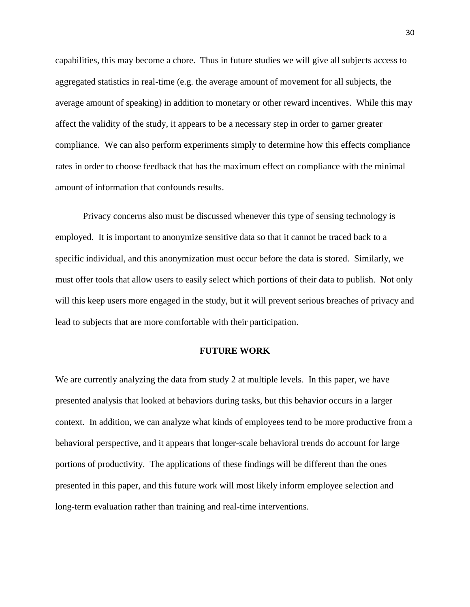capabilities, this may become a chore. Thus in future studies we will give all subjects access to aggregated statistics in real-time (e.g. the average amount of movement for all subjects, the average amount of speaking) in addition to monetary or other reward incentives. While this may affect the validity of the study, it appears to be a necessary step in order to garner greater compliance. We can also perform experiments simply to determine how this effects compliance rates in order to choose feedback that has the maximum effect on compliance with the minimal amount of information that confounds results.

Privacy concerns also must be discussed whenever this type of sensing technology is employed. It is important to anonymize sensitive data so that it cannot be traced back to a specific individual, and this anonymization must occur before the data is stored. Similarly, we must offer tools that allow users to easily select which portions of their data to publish. Not only will this keep users more engaged in the study, but it will prevent serious breaches of privacy and lead to subjects that are more comfortable with their participation.

# **FUTURE WORK**

We are currently analyzing the data from study 2 at multiple levels. In this paper, we have presented analysis that looked at behaviors during tasks, but this behavior occurs in a larger context. In addition, we can analyze what kinds of employees tend to be more productive from a behavioral perspective, and it appears that longer-scale behavioral trends do account for large portions of productivity. The applications of these findings will be different than the ones presented in this paper, and this future work will most likely inform employee selection and long-term evaluation rather than training and real-time interventions.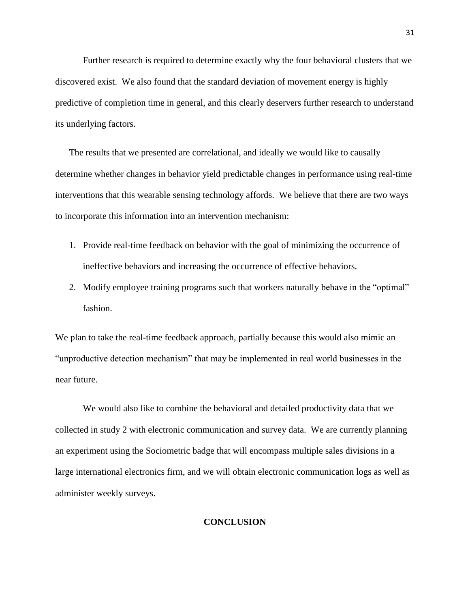Further research is required to determine exactly why the four behavioral clusters that we discovered exist. We also found that the standard deviation of movement energy is highly predictive of completion time in general, and this clearly deservers further research to understand its underlying factors.

The results that we presented are correlational, and ideally we would like to causally determine whether changes in behavior yield predictable changes in performance using real-time interventions that this wearable sensing technology affords. We believe that there are two ways to incorporate this information into an intervention mechanism:

- 1. Provide real-time feedback on behavior with the goal of minimizing the occurrence of ineffective behaviors and increasing the occurrence of effective behaviors.
- 2. Modify employee training programs such that workers naturally behave in the "optimal" fashion.

We plan to take the real-time feedback approach, partially because this would also mimic an "unproductive detection mechanism" that may be implemented in real world businesses in the near future.

We would also like to combine the behavioral and detailed productivity data that we collected in study 2 with electronic communication and survey data. We are currently planning an experiment using the Sociometric badge that will encompass multiple sales divisions in a large international electronics firm, and we will obtain electronic communication logs as well as administer weekly surveys.

## **CONCLUSION**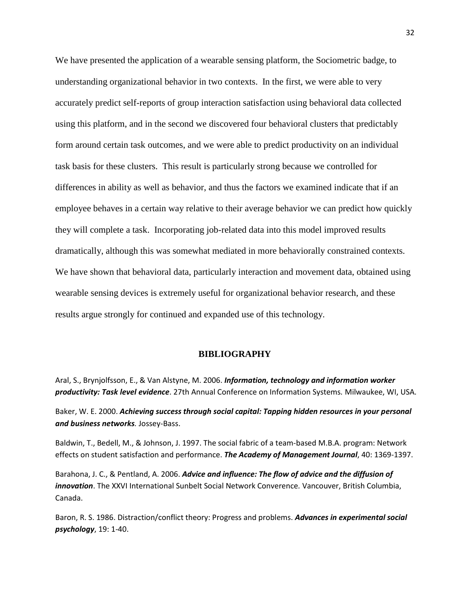We have presented the application of a wearable sensing platform, the Sociometric badge, to understanding organizational behavior in two contexts. In the first, we were able to very accurately predict self-reports of group interaction satisfaction using behavioral data collected using this platform, and in the second we discovered four behavioral clusters that predictably form around certain task outcomes, and we were able to predict productivity on an individual task basis for these clusters. This result is particularly strong because we controlled for differences in ability as well as behavior, and thus the factors we examined indicate that if an employee behaves in a certain way relative to their average behavior we can predict how quickly they will complete a task. Incorporating job-related data into this model improved results dramatically, although this was somewhat mediated in more behaviorally constrained contexts. We have shown that behavioral data, particularly interaction and movement data, obtained using wearable sensing devices is extremely useful for organizational behavior research, and these results argue strongly for continued and expanded use of this technology.

# **BIBLIOGRAPHY**

Aral, S., Brynjolfsson, E., & Van Alstyne, M. 2006. *Information, technology and information worker productivity: Task level evidence*. 27th Annual Conference on Information Systems*.* Milwaukee, WI, USA.

Baker, W. E. 2000. *Achieving success through social capital: Tapping hidden resources in your personal and business networks.* Jossey-Bass.

Baldwin, T., Bedell, M., & Johnson, J. 1997. The social fabric of a team-based M.B.A. program: Network effects on student satisfaction and performance. *The Academy of Management Journal*, 40: 1369-1397.

Barahona, J. C., & Pentland, A. 2006. *Advice and influence: The flow of advice and the diffusion of innovation*. The XXVI International Sunbelt Social Network Converence*.* Vancouver, British Columbia, Canada.

Baron, R. S. 1986. Distraction/conflict theory: Progress and problems. *Advances in experimental social psychology*, 19: 1-40.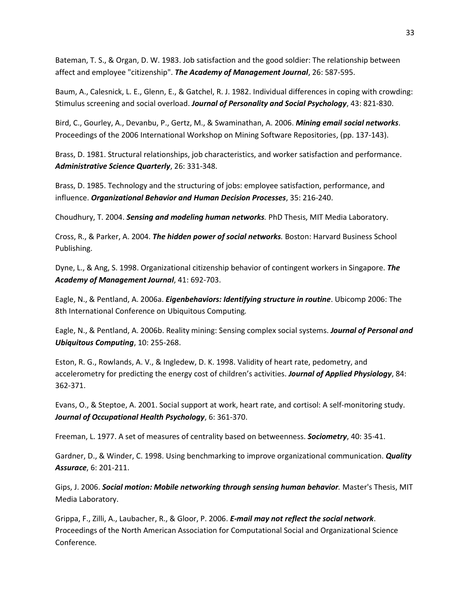Bateman, T. S., & Organ, D. W. 1983. Job satisfaction and the good soldier: The relationship between affect and employee "citizenship". *The Academy of Management Journal*, 26: 587-595.

Baum, A., Calesnick, L. E., Glenn, E., & Gatchel, R. J. 1982. Individual differences in coping with crowding: Stimulus screening and social overload. *Journal of Personality and Social Psychology*, 43: 821-830.

Bird, C., Gourley, A., Devanbu, P., Gertz, M., & Swaminathan, A. 2006. *Mining email social networks*. Proceedings of the 2006 International Workshop on Mining Software Repositories, (pp. 137-143).

Brass, D. 1981. Structural relationships, job characteristics, and worker satisfaction and performance. *Administrative Science Quarterly*, 26: 331-348.

Brass, D. 1985. Technology and the structuring of jobs: employee satisfaction, performance, and influence. *Organizational Behavior and Human Decision Processes*, 35: 216-240.

Choudhury, T. 2004. *Sensing and modeling human networks.* PhD Thesis, MIT Media Laboratory.

Cross, R., & Parker, A. 2004. *The hidden power of social networks.* Boston: Harvard Business School Publishing.

Dyne, L., & Ang, S. 1998. Organizational citizenship behavior of contingent workers in Singapore. *The Academy of Management Journal*, 41: 692-703.

Eagle, N., & Pentland, A. 2006a. *Eigenbehaviors: Identifying structure in routine*. Ubicomp 2006: The 8th International Conference on Ubiquitous Computing*.*

Eagle, N., & Pentland, A. 2006b. Reality mining: Sensing complex social systems. *Journal of Personal and Ubiquitous Computing*, 10: 255-268.

Eston, R. G., Rowlands, A. V., & Ingledew, D. K. 1998. Validity of heart rate, pedometry, and accelerometry for predicting the energy cost of children's activities. *Journal of Applied Physiology*, 84: 362-371.

Evans, O., & Steptoe, A. 2001. Social support at work, heart rate, and cortisol: A self-monitoring study. *Journal of Occupational Health Psychology*, 6: 361-370.

Freeman, L. 1977. A set of measures of centrality based on betweenness. *Sociometry*, 40: 35-41.

Gardner, D., & Winder, C. 1998. Using benchmarking to improve organizational communication. *Quality Assurace*, 6: 201-211.

Gips, J. 2006. *Social motion: Mobile networking through sensing human behavior.* Master's Thesis, MIT Media Laboratory.

Grippa, F., Zilli, A., Laubacher, R., & Gloor, P. 2006. *E-mail may not reflect the social network*. Proceedings of the North American Association for Computational Social and Organizational Science Conference*.*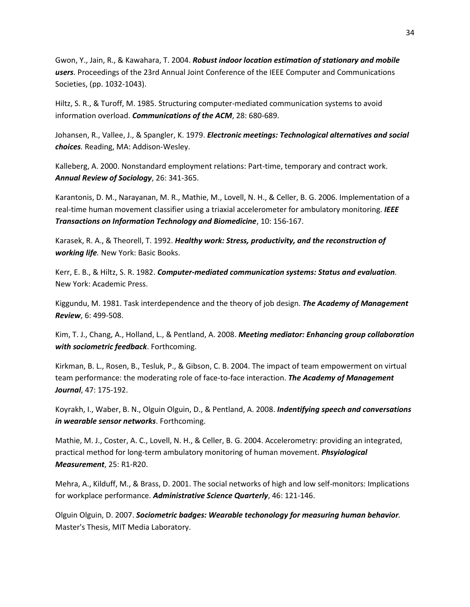Gwon, Y., Jain, R., & Kawahara, T. 2004. *Robust indoor location estimation of stationary and mobile users*. Proceedings of the 23rd Annual Joint Conference of the IEEE Computer and Communications Societies, (pp. 1032-1043).

Hiltz, S. R., & Turoff, M. 1985. Structuring computer-mediated communication systems to avoid information overload. *Communications of the ACM*, 28: 680-689.

Johansen, R., Vallee, J., & Spangler, K. 1979. *Electronic meetings: Technological alternatives and social choices.* Reading, MA: Addison-Wesley.

Kalleberg, A. 2000. Nonstandard employment relations: Part-time, temporary and contract work. *Annual Review of Sociology*, 26: 341-365.

Karantonis, D. M., Narayanan, M. R., Mathie, M., Lovell, N. H., & Celler, B. G. 2006. Implementation of a real-time human movement classifier using a triaxial accelerometer for ambulatory monitoring. *IEEE Transactions on Information Technology and Biomedicine*, 10: 156-167.

Karasek, R. A., & Theorell, T. 1992. *Healthy work: Stress, productivity, and the reconstruction of working life.* New York: Basic Books.

Kerr, E. B., & Hiltz, S. R. 1982. *Computer-mediated communication systems: Status and evaluation.* New York: Academic Press.

Kiggundu, M. 1981. Task interdependence and the theory of job design. *The Academy of Management Review*, 6: 499-508.

Kim, T. J., Chang, A., Holland, L., & Pentland, A. 2008. *Meeting mediator: Enhancing group collaboration with sociometric feedback*. Forthcoming.

Kirkman, B. L., Rosen, B., Tesluk, P., & Gibson, C. B. 2004. The impact of team empowerment on virtual team performance: the moderating role of face-to-face interaction. *The Academy of Management Journal*, 47: 175-192.

Koyrakh, I., Waber, B. N., Olguin Olguin, D., & Pentland, A. 2008. *Indentifying speech and conversations in wearable sensor networks*. Forthcoming.

Mathie, M. J., Coster, A. C., Lovell, N. H., & Celler, B. G. 2004. Accelerometry: providing an integrated, practical method for long-term ambulatory monitoring of human movement. *Phsyiological Measurement*, 25: R1-R20.

Mehra, A., Kilduff, M., & Brass, D. 2001. The social networks of high and low self-monitors: Implications for workplace performance. *Administrative Science Quarterly*, 46: 121-146.

Olguin Olguin, D. 2007. *Sociometric badges: Wearable techonology for measuring human behavior.* Master's Thesis, MIT Media Laboratory.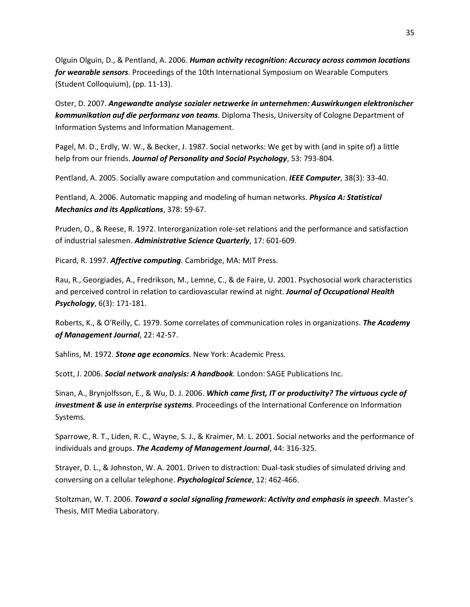Olguin Olguin, D., & Pentland, A. 2006. *Human activity recognition: Accuracy across common locations for wearable sensors*. Proceedings of the 10th International Symposium on Wearable Computers (Student Colloquium), (pp. 11-13).

Oster, D. 2007. *Angewandte analyse sozialer netzwerke in unternehmen: Auswirkungen elektronischer kommunikation auf die performanz von teams.* Diploma Thesis, University of Cologne Department of Information Systems and Information Management.

Pagel, M. D., Erdly, W. W., & Becker, J. 1987. Social networks: We get by with (and in spite of) a little help from our friends. *Journal of Personality and Social Psychology*, 53: 793-804.

Pentland, A. 2005. Socially aware computation and communication. *IEEE Computer*, 38(3): 33-40.

Pentland, A. 2006. Automatic mapping and modeling of human networks. *Physica A: Statistical Mechanics and its Applications*, 378: 59-67.

Pruden, O., & Reese, R. 1972. Interorganization role-set relations and the performance and satisfaction of industrial salesmen. *Administrative Science Quarterly*, 17: 601-609.

Picard, R. 1997. *Affective computing.* Cambridge, MA: MIT Press.

Rau, R., Georgiades, A., Fredrikson, M., Lemne, C., & de Faire, U. 2001. Psychosocial work characteristics and perceived control in relation to cardiovascular rewind at night. *Journal of Occupational Health Psychology*, 6(3): 171-181.

Roberts, K., & O'Reilly, C. 1979. Some correlates of communication roles in organizations. *The Academy of Management Journal*, 22: 42-57.

Sahlins, M. 1972. *Stone age economics.* New York: Academic Press.

Scott, J. 2006. *Social network analysis: A handbook.* London: SAGE Publications Inc.

Sinan, A., Brynjolfsson, E., & Wu, D. J. 2006. *Which came first, IT or productivity? The virtuous cycle of investment & use in enterprise systems*. Proceedings of the International Conference on Information Systems*.*

Sparrowe, R. T., Liden, R. C., Wayne, S. J., & Kraimer, M. L. 2001. Social networks and the performance of individuals and groups. *The Academy of Management Journal*, 44: 316-325.

Strayer, D. L., & Johnston, W. A. 2001. Driven to distraction: Dual-task studies of simulated driving and conversing on a cellular telephone. *Psychological Science*, 12: 462-466.

Stoltzman, W. T. 2006. *Toward a social signaling framework: Activity and emphasis in speech.* Master's Thesis, MIT Media Laboratory.